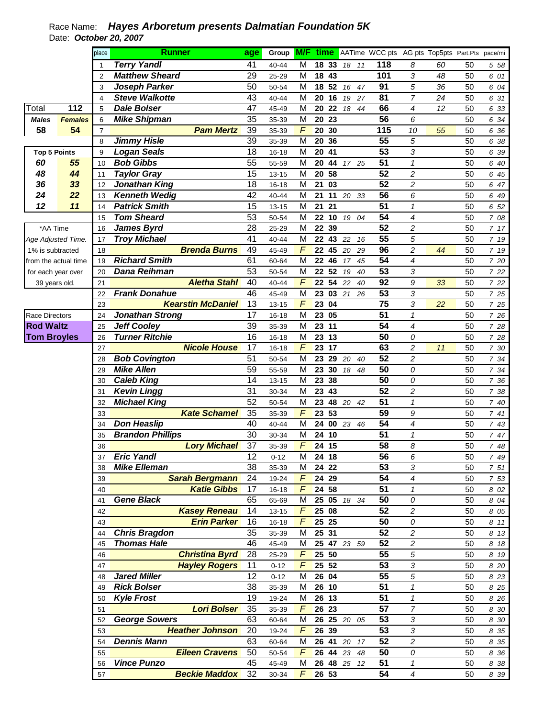## Race Name: **Hayes Arboretum presents Dalmatian Foundation 5K**  Date: **October 20, 2007**

|                      |                | place          | <b>Runner</b>            | age             | Group     |                |             |                    |    | <b>M/F time</b> AATime WCC pts AG pts Top5pts Part.Pts pace/mi |                            |    |    |       |
|----------------------|----------------|----------------|--------------------------|-----------------|-----------|----------------|-------------|--------------------|----|----------------------------------------------------------------|----------------------------|----|----|-------|
|                      |                | 1              | <b>Terry Yandl</b>       | 41              | 40-44     | M              | 18 33       | 18                 | 11 | $\overline{118}$                                               | 8                          | 60 | 50 | 5 58  |
|                      |                | $\overline{2}$ | <b>Matthew Sheard</b>    | 29              | 25-29     | M              | 18 43       |                    |    | 101                                                            | 3                          | 48 | 50 | 6 01  |
|                      |                | 3              | Joseph Parker            | 50              | 50-54     | M              | 18 52       | 16                 | 47 | 91                                                             | 5                          | 36 | 50 | 6 04  |
|                      |                | $\overline{4}$ | <b>Steve Walkotte</b>    | 43              | 40-44     | M              | 20 16       | 19 27              |    | 81                                                             | $\overline{7}$             | 24 | 50 | 6 31  |
| Total                | 112            | 5              | <b>Dale Bolser</b>       | 47              | 45-49     | M              | 20<br>22    | $18\,$             | 44 | 66                                                             | $\overline{4}$             | 12 | 50 | 6 33  |
| <b>Males</b>         | <b>Females</b> | 6              | <b>Mike Shipman</b>      | 35              | 35-39     | M              | 20<br>23    |                    |    | 56                                                             | 6                          |    | 50 | 6 34  |
| 58                   | 54             | $\overline{7}$ | <b>Pam Mertz</b>         | 39              | 35-39     | F              | 20<br>30    |                    |    | 115                                                            | 10                         | 55 | 50 | 6 36  |
|                      |                | 8              | <b>Jimmy Hisle</b>       | 39              | 35-39     | M              | 36<br>20    |                    |    | $\overline{55}$                                                | 5                          |    | 50 | 6 38  |
| <b>Top 5 Points</b>  |                | 9              | <b>Logan Seals</b>       | 18              | $16 - 18$ | M              | 41<br>20    |                    |    | $\overline{53}$                                                | 3                          |    | 50 | 6 39  |
| 60                   | 55             | 10             | <b>Bob Gibbs</b>         | 55              | 55-59     | M              | 20<br>44    | 17 25              |    | $\overline{51}$                                                | $\mathbf{1}$               |    | 50 | 6 40  |
| 48                   | 44             | 11             | <b>Taylor Gray</b>       | 15              | $13 - 15$ | M              | 58<br>20    |                    |    | $\overline{52}$                                                | $\overline{c}$             |    | 50 | 6 45  |
| 36                   | 33             | 12             | <b>Jonathan King</b>     | 18              | $16 - 18$ | M              | 21<br>03    |                    |    | $\overline{52}$                                                | $\overline{c}$             |    | 50 | 6 47  |
| 24                   | 22             | 13             | <b>Kenneth Wedig</b>     | 42              | 40-44     | M              | 21<br>11    | 20 33              |    | 56                                                             | 6                          |    | 50 | 6 49  |
| 12                   | 11             | 14             | <b>Patrick Smith</b>     | 15              | $13 - 15$ | M              | 21<br>21    |                    |    | 51                                                             | $\mathbf{1}$               |    | 50 | 6 52  |
|                      |                | 15             | <b>Tom Sheard</b>        | 53              | 50-54     | M              | 22<br>10    | 19 04              |    | $\overline{54}$                                                | $\overline{4}$             |    | 50 | 7 08  |
| *AA Time             |                | 16             | <b>James Byrd</b>        | 28              | 25-29     | M              | 22<br>39    |                    |    | $\overline{52}$                                                | $\overline{c}$             |    | 50 | 7 17  |
| Age Adjusted Time.   |                | 17             | <b>Troy Michael</b>      | 41              | 40-44     | M              | 22          | $\overline{43}$ 22 | 16 | $\overline{55}$                                                | 5                          |    | 50 | 7 19  |
| 1% is subtracted     |                | 18             | <b>Brenda Burns</b>      | 49              | 45-49     | F              | 22          | $\overline{45}$ 20 | 29 | 96                                                             | $\overline{c}$             | 44 | 50 | 7 19  |
| from the actual time |                | 19             | <b>Richard Smith</b>     | 61              | 60-64     | M              | 46<br>22    | 17                 | 45 | $\overline{54}$                                                | $\overline{4}$             |    | 50 | 7 20  |
| for each year over   |                | 20             | Dana Reihman             | 53              | 50-54     | M              | 22<br>52    | 19                 | 40 | $\overline{53}$                                                | 3                          |    | 50 | 7 22  |
| 39 years old.        |                | 21             | <b>Aletha Stahl</b>      | 40              | $40 - 44$ | F              | 22 54 22    |                    | 40 | 92                                                             | 9                          | 33 | 50 | 7 22  |
|                      |                | 22             | <b>Frank Donahue</b>     | 46              | 45-49     | M              | 23          | 03 21              | 26 | 53                                                             | 3                          |    | 50 | 7 25  |
|                      |                | 23             | <b>Kearstin McDaniel</b> | 13              | $13 - 15$ | F              | 23 04       |                    |    | $\overline{75}$                                                | 3                          | 22 | 50 | 7 25  |
| Race Directors       |                | 24             | <b>Jonathan Strong</b>   | 17              | $16 - 18$ | M              | 23 05       |                    |    | $\overline{51}$                                                | $\mathbf{1}$               |    | 50 | 7 26  |
| <b>Rod Waltz</b>     |                | 25             | <b>Jeff Cooley</b>       | $\overline{39}$ | 35-39     | M              | 23<br>11    |                    |    | $\overline{54}$                                                | $\overline{4}$             |    | 50 | 7 28  |
| <b>Tom Broyles</b>   |                | 26             | <b>Turner Ritchie</b>    | 16              | $16 - 18$ | M              | 23<br>13    |                    |    | 50                                                             | 0                          |    | 50 | 7 28  |
|                      |                | 27             | <b>Nicole House</b>      | 17              | $16 - 18$ | $\overline{F}$ | 23<br>17    |                    |    | 63                                                             | $\overline{c}$             | 11 | 50 | 7 30  |
|                      |                | 28             | <b>Bob Covington</b>     | 51              | 50-54     | M              | 23<br>29    | 20                 | 40 | $\overline{52}$                                                | $\overline{c}$             |    | 50 | 7 34  |
|                      |                | 29             | <b>Mike Allen</b>        | 59              | 55-59     | M              | 23<br>30    | 18                 | 48 | 50                                                             | 0                          |    | 50 | 7 34  |
|                      |                | 30             | <b>Caleb King</b>        | 14              | $13 - 15$ | M              | 23<br>38    |                    |    | 50                                                             | 0                          |    | 50 | 7 36  |
|                      |                | 31             | <b>Kevin Lingg</b>       | 31              | 30-34     | M              | 23<br>43    |                    |    | $\overline{52}$                                                | $\overline{c}$             |    | 50 | 7 38  |
|                      |                | 32             | <b>Michael King</b>      | 52              | 50-54     | M              | 23          | 48 20 42           |    | $\overline{51}$                                                | $\mathbf{1}$               |    | 50 | 7 40  |
|                      |                | 33             | <b>Kate Schamel</b>      | 35              | 35-39     | F              | 23<br>53    |                    |    | 59                                                             | 9                          |    | 50 | 741   |
|                      |                | 34             | <b>Don Heaslip</b>       | 40              | 40-44     | M              | 24 00 23 46 |                    |    | $\overline{54}$                                                | $\overline{\mathcal{A}}$   |    | 50 | 7 43  |
|                      |                | 35             | <b>Brandon Phillips</b>  | 30              | 30-34     | M              | 24 10       |                    |    | $\overline{51}$                                                | $\mathbf{1}$               |    | 50 | 7 47  |
|                      |                | 36             | <b>Lory Michael</b>      | 37              | 35-39     | $\overline{F}$ | 24 15       |                    |    | 58                                                             | 8                          |    | 50 | 7 48  |
|                      |                | 37             | <b>Eric Yandl</b>        | 12              | $0 - 12$  |                | M 24 18     |                    |    | $\overline{56}$                                                | 6                          |    | 50 | 7 49  |
|                      |                | 38             | <b>Mike Elleman</b>      | 38              | 35-39     | M              | 24 22       |                    |    | 53                                                             | 3                          |    | 50 | 7 51  |
|                      |                | 39             | <b>Sarah Bergmann</b>    | 24              | 19-24     | $\mathcal{F}$  | 24 29       |                    |    | $\overline{54}$                                                | $\boldsymbol{4}$           |    | 50 | 7 53  |
|                      |                | 40             | <b>Katie Gibbs</b>       | 17              | $16 - 18$ | F              | 24 58       |                    |    | $\overline{51}$                                                | $\mathbf{1}$               |    | 50 | 8 0 2 |
|                      |                | 41             | <b>Gene Black</b>        | 65              | 65-69     | M              | 25 05 18 34 |                    |    | 50                                                             | 0                          |    | 50 | 8 04  |
|                      |                | 42             | <b>Kasey Reneau</b>      | 14              | $13 - 15$ | F              | 25 08       |                    |    | 52                                                             | $\overline{c}$             |    | 50 | 8 0 5 |
|                      |                | 43             | <b>Erin Parker</b>       | 16              | $16 - 18$ | $\sqrt{2}$     | 25 25       |                    |    | 50                                                             | 0                          |    | 50 | 8 11  |
|                      |                | 44             | <b>Chris Bragdon</b>     | 35              | 35-39     | M              | 25 31       |                    |    | $\overline{52}$                                                | $\overline{c}$             |    | 50 | 8 13  |
|                      |                | 45             | <b>Thomas Hale</b>       | 46              | 45-49     | M              | 25 47 23 59 |                    |    | 52                                                             | $\overline{c}$             |    | 50 | 8 18  |
|                      |                | 46             | <b>Christina Byrd</b>    | 28              | 25-29     | $\sqrt{2}$     | 25 50       |                    |    | 55                                                             | 5                          |    | 50 | 8 19  |
|                      |                | 47             | <b>Hayley Rogers</b>     | 11              | $0 - 12$  | F              | 25 52       |                    |    | 53                                                             | 3                          |    | 50 | 8 20  |
|                      |                | 48             | <b>Jared Miller</b>      | 12              | $0 - 12$  | M              | 26 04       |                    |    | $\overline{55}$                                                | 5                          |    | 50 | 8 2 3 |
|                      |                | 49             | <b>Rick Bolser</b>       | 38              | 35-39     | M              | 26 10       |                    |    | $\overline{51}$                                                | $\mathbf{1}$               |    | 50 | 8 25  |
|                      |                | 50             | <b>Kyle Frost</b>        | 19              | 19-24     | M              | 26 13       |                    |    | $\overline{51}$                                                | $\mathbf{1}$               |    | 50 | 8 2 6 |
|                      |                | 51             | <b>Lori Bolser</b>       | 35              | 35-39     | $\mathcal{F}$  | 26 23       |                    |    | $\overline{57}$                                                | $\overline{7}$             |    | 50 | 8 30  |
|                      |                | 52             | <b>George Sowers</b>     | 63              | 60-64     | M              | 26 25 20 05 |                    |    | 53                                                             | 3                          |    | 50 | 8 30  |
|                      |                | 53             | <b>Heather Johnson</b>   | 20              | 19-24     | $\sqrt{F}$     | 26 39       |                    |    | $\overline{53}$                                                | 3                          |    | 50 | 8 35  |
|                      |                | 54             | <b>Dennis Mann</b>       | 63              | 60-64     | M              | 26 41 20 17 |                    |    | $\overline{52}$                                                | $\overline{c}$             |    | 50 | 8 35  |
|                      |                | 55             | <b>Eileen Cravens</b>    | 50              | 50-54     | F              | 26 44 23 48 |                    |    | 50                                                             | 0                          |    | 50 | 8 36  |
|                      |                |                | <b>Vince Punzo</b>       | 45              |           | M              | 26 48 25 12 |                    |    | 51                                                             | $\boldsymbol{\mathcal{I}}$ |    | 50 | 8 38  |
|                      |                | 56             | <b>Beckie Maddox</b>     | 32              | 45-49     | $\mathcal{F}$  | 26 53       |                    |    | 54                                                             | $\boldsymbol{4}$           |    | 50 |       |
|                      |                | 57             |                          |                 | 30-34     |                |             |                    |    |                                                                |                            |    |    | 8 3 9 |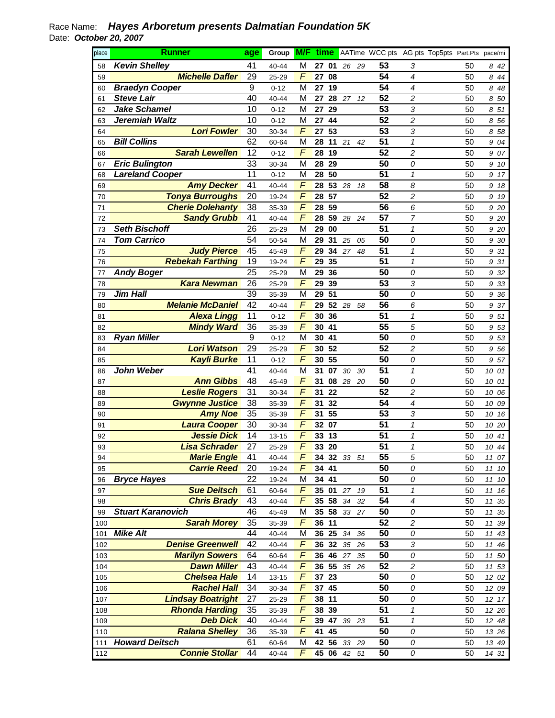## Race Name: **Hayes Arboretum presents Dalmatian Foundation 5K**  Date: **October 20, 2007**

| place    | Runner                                     | age      | Group          |                |                 |             |             |    | <b>M/F time</b> AATime WCC pts AG pts Top5pts Part.Pts pace/mi |                          |          |                |
|----------|--------------------------------------------|----------|----------------|----------------|-----------------|-------------|-------------|----|----------------------------------------------------------------|--------------------------|----------|----------------|
| 58       | <b>Kevin Shelley</b>                       | 41       | 40-44          | M              |                 | 27 01       | 26 29       |    | 53                                                             | 3                        | 50       | 842            |
| 59       | <b>Michelle Dafler</b>                     | 29       | 25-29          | F              | 27 08           |             |             |    | 54                                                             | 4                        | 50       | 8 4 4          |
| 60       | <b>Braedyn Cooper</b>                      | 9        | $0 - 12$       | М              |                 | 27 19       |             |    | 54                                                             | 4                        | 50       | 848            |
| 61       | <b>Steve Lair</b>                          | 40       | 40-44          | М              | 27              | 28          | 27          | 12 | 52                                                             | 2                        | 50       | 8 50           |
| 62       | <b>Jake Schamel</b>                        | 10       | $0 - 12$       | М              | 27              | 29          |             |    | 53                                                             | 3                        | 50       | 8 51           |
| 63       | Jeremiah Waltz                             | 10       | $0 - 12$       | М              | 27              | 44          |             |    | 52                                                             | 2                        | 50       | 856            |
| 64       | <b>Lori Fowler</b>                         | 30       | 30-34          | F              |                 | 27 53       |             |    | 53                                                             | 3                        | 50       | 858            |
| 65       | <b>Bill Collins</b>                        | 62       | 60-64          | М              | 28              | 11          | 21          | 42 | 51                                                             | 1                        | 50       | 9 04           |
| 66       | <b>Sarah Lewellen</b>                      | 12       | $0 - 12$       | F              | 28              | 19          |             |    | 52                                                             | 2                        | 50       | 9 07           |
| 67       | <b>Eric Bulington</b>                      | 33       | 30-34          | М              |                 | 28 29       |             |    | 50                                                             | 0                        | 50       | 9 10           |
| 68       | <b>Lareland Cooper</b>                     | 11       | $0 - 12$       | М              |                 | 28 50       |             |    | 51                                                             | 1                        | 50       | 9 17           |
| 69       | <b>Amy Decker</b>                          | 41       | 40-44          | F              |                 | 28 53       | 28          | 18 | 58                                                             | 8                        | 50       | 9 18           |
| 70       | <b>Tonya Burroughs</b>                     | 20       | 19-24          | F              |                 | 28 57       |             |    | 52                                                             | 2                        | 50       | 9 19           |
| 71       | <b>Cherie Dolehanty</b>                    | 38       | 35-39          | F              |                 | 28 59       |             |    | 56                                                             | 6                        | 50       | 9 20           |
| 72       | <b>Sandy Grubb</b>                         | 41       | 40-44          | F              |                 | 28 59       | 28 24       |    | 57                                                             | $\overline{7}$           | 50       | 9 20           |
| 73       | <b>Seth Bischoff</b>                       | 26       | 25-29          | М              | 29 00           |             |             |    | 51                                                             | $\mathbf{1}$             | 50       | 9 20           |
| 74       | <b>Tom Carrico</b>                         | 54       | 50-54          | М              | 29 31           |             | 25          | 05 | 50                                                             | 0                        | 50       | 9 30           |
| 75       | <b>Judy Pierce</b>                         | 45       | 45-49          | F              |                 | 29 34       | 27          | 48 | 51                                                             | $\mathbf{1}$             | 50       | 9 31           |
| 76       | <b>Rebekah Farthing</b>                    | 19       | 19-24          | F              |                 | 29 35       |             |    | 51                                                             | $\mathbf{1}$             | 50       | 9 31           |
| 77       | <b>Andy Boger</b>                          | 25       | 25-29          | М              |                 | 29 36       |             |    | 50                                                             | 0                        | 50       | 9 32           |
| 78       | <b>Kara Newman</b>                         | 26       | 25-29          | F              |                 | 29 39       |             |    | 53                                                             | 3                        | 50       | 9 3 3          |
| 79       | <b>Jim Hall</b>                            | 39       | 35-39          | М              | 29 51           |             |             |    | 50                                                             | 0                        | 50       | 9 36           |
| 80       | <b>Melanie McDaniel</b>                    | 42       | 40-44          | F              | 29              | 52          | 28 58       |    | 56                                                             | 6                        | 50       | 9 37           |
| 81       | <b>Alexa Lingg</b>                         | 11       | $0 - 12$       | F              |                 | 30 36       |             |    | 51                                                             | $\mathbf{1}$             | 50       | 9 51           |
| 82       | <b>Mindy Ward</b>                          | 36       | 35-39          | F              | 30 41           |             |             |    | 55                                                             | 5                        | 50       | 9 53           |
| 83       | <b>Ryan Miller</b>                         | 9        | $0 - 12$       | М              | 30 41           |             |             |    | 50                                                             | 0                        | 50       | 9 53           |
| 84       | <b>Lori Watson</b>                         | 29       | 25-29          | F              | 30 <sub>o</sub> | 52          |             |    | 52                                                             | 2                        | 50       | 9 56           |
| 85       | <b>Kayli Burke</b>                         | 11       | $0 - 12$       | F              |                 | 30 55       |             |    | 50                                                             | 0                        | 50       | 9 57           |
| 86       | John Weber                                 | 41       | 40-44          | М              | 31              | 07          | $30\,$      | 30 | 51                                                             | 1                        | 50       | 10 01          |
| 87       | <b>Ann Gibbs</b>                           | 48       | 45-49          | F              | 31              | 08          | 28 20       |    | 50                                                             | 0                        | 50       | 10 01          |
| 88       | <b>Leslie Rogers</b>                       | 31       | 30-34          | F              | 31              | 22          |             |    | 52                                                             | 2                        | 50       | 10 06          |
| 89       | <b>Gwynne Justice</b>                      | 38       | 35-39          | F              | 31              | 32          |             |    | 54                                                             | 4                        | 50       | 10 09          |
| 90       | <b>Amy Noe</b>                             | 35       | 35-39          | F              | 31              | 55          |             |    | 53                                                             | 3                        | 50       | 10 16          |
| 91       | <b>Laura Cooper</b>                        | 30       | 30-34          | F              | 32 07           |             |             |    | 51                                                             | 1                        | 50       | 10 20          |
| 92       | <b>Jessie Dick</b><br><b>Lisa Schrader</b> | 14       | $13 - 15$      | F<br>F         | 33 <sup>3</sup> | 13<br>33 20 |             |    | 51<br>51                                                       | 1                        | 50       | 10 41          |
| 93       | <b>Marie Engle</b>                         | 27<br>41 | 25-29          | $\overline{F}$ |                 |             | 34 32 33 51 |    | $\overline{55}$                                                | 1<br>5                   | 50       | 10 44          |
| 94       | <b>Carrie Reed</b>                         | 20       | 40-44<br>19-24 | F              | 34 41           |             |             |    | 50                                                             | 0                        | 50<br>50 | 11 07          |
| 95<br>96 | <b>Bryce Hayes</b>                         | 22       | 19-24          | М              | 34 41           |             |             |    | 50                                                             | 0                        | 50       | 11 10<br>11 10 |
| 97       | <b>Sue Deitsch</b>                         | 61       | 60-64          | F              | 35 01           |             | 27          | 19 | 51                                                             | 1                        | 50       | 11 16          |
| 98       | <b>Chris Brady</b>                         | 43       | $40 - 44$      | F              |                 | 35 58       | 34          | 32 | 54                                                             | $\overline{\mathcal{A}}$ | 50       | 11 35          |
| 99       | <b>Stuart Karanovich</b>                   | 46       | 45-49          | М              |                 | 35 58       | 33 27       |    | 50                                                             | 0                        | 50       | 11 35          |
| 100      | <b>Sarah Morey</b>                         | 35       | 35-39          | F              | 36 11           |             |             |    | 52                                                             | 2                        | 50       | 11 39          |
| 101      | <b>Mike Alt</b>                            | 44       | 40-44          | М              |                 | 36 25       | 34          | 36 | 50                                                             | 0                        | 50       | 11 43          |
| 102      | <b>Denise Greenwell</b>                    | 42       | 40-44          | F              |                 | 36 32       | 35 26       |    | 53                                                             | 3                        | 50       | 11 46          |
| 103      | <b>Marilyn Sowers</b>                      | 64       | 60-64          | F              |                 |             | 36 46 27    | 35 | 50                                                             | 0                        | 50       | 11 50          |
| 104      | <b>Dawn Miller</b>                         | 43       | $40 - 44$      | F              |                 | 36 55       | 35 26       |    | 52                                                             | 2                        | 50       | 11 53          |
| 105      | <b>Chelsea Hale</b>                        | 14       | $13 - 15$      | F              |                 | 37 23       |             |    | 50                                                             | 0                        | 50       | 12 02          |
| 106      | <b>Rachel Hall</b>                         | 34       | 30-34          | F              |                 | 37 45       |             |    | 50                                                             | 0                        | 50       | 12 09          |
| 107      | <b>Lindsay Boatright</b>                   | 27       | 25-29          | F              | 38 11           |             |             |    | 50                                                             | 0                        | 50       | 12 17          |
| 108      | <b>Rhonda Harding</b>                      | 35       | 35-39          | F              |                 | 38 39       |             |    | 51                                                             | 1                        | 50       | 12 26          |
| 109      | <b>Deb Dick</b>                            | 40       | 40-44          | F              |                 | 39 47       | 39 23       |    | 51                                                             | 1                        | 50       | 12 48          |
| 110      | <b>Ralana Shelley</b>                      | 36       | 35-39          | F              |                 | 41 45       |             |    | 50                                                             | 0                        | 50       | 13 26          |
| 111      | <b>Howard Deitsch</b>                      | 61       | 60-64          | М              |                 |             | 42 56 33 29 |    | 50                                                             | 0                        | 50       | 13 49          |
| 112      | <b>Connie Stollar</b>                      | 44       | 40-44          | F              |                 |             | 45 06 42 51 |    | 50                                                             | 0                        | 50       | 14 31          |
|          |                                            |          |                |                |                 |             |             |    |                                                                |                          |          |                |